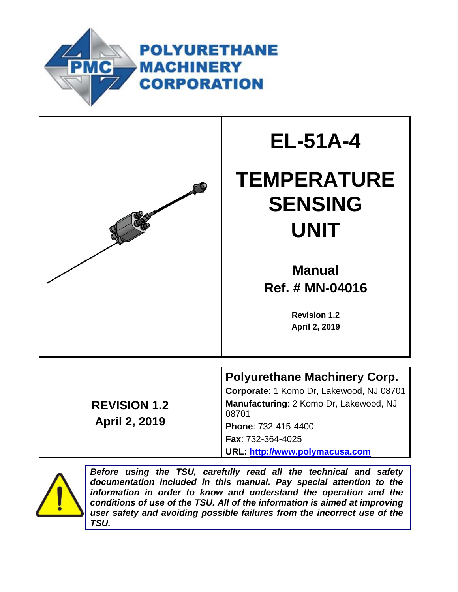



# **EL-51A-4**

# **TEMPERATURE SENSING UNIT**

**Manual Ref. # MN-04016**

> **Revision 1.2 April 2, 2019**

**REVISION 1.2 April 2, 2019**

# **Polyurethane Machinery Corp.**

**Corporate**: 1 Komo Dr, Lakewood, NJ 08701 **Manufacturing**: 2 Komo Dr, Lakewood, NJ 08701 **Phone**: 732-415-4400

**Fax**: 732-364-4025

**URL: [http://www.polymacusa.com](http://www.polymacusa.com/)**



*Before using the TSU, carefully read all the technical and safety documentation included in this manual. Pay special attention to the information in order to know and understand the operation and the conditions of use of the TSU. All of the information is aimed at improving user safety and avoiding possible failures from the incorrect use of the TSU.*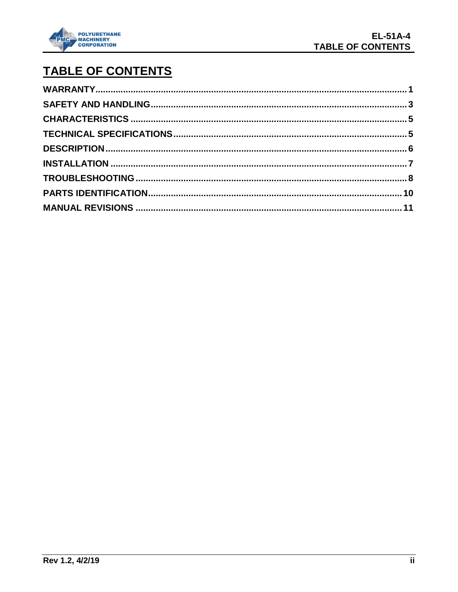

# TABLE OF CONTENTS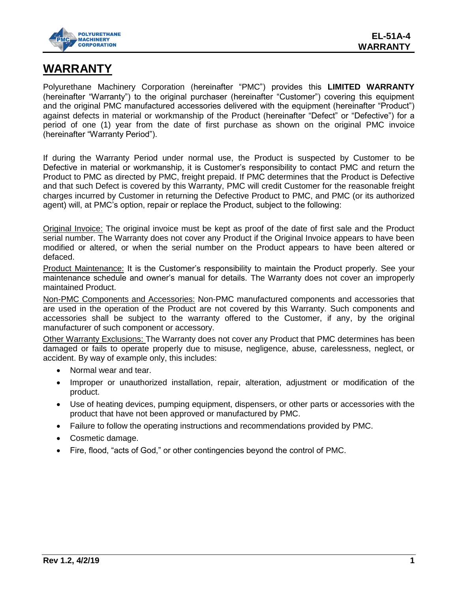

### <span id="page-2-0"></span>**WARRANTY**

Polyurethane Machinery Corporation (hereinafter "PMC") provides this **LIMITED WARRANTY** (hereinafter "Warranty") to the original purchaser (hereinafter "Customer") covering this equipment and the original PMC manufactured accessories delivered with the equipment (hereinafter "Product") against defects in material or workmanship of the Product (hereinafter "Defect" or "Defective") for a period of one (1) year from the date of first purchase as shown on the original PMC invoice (hereinafter "Warranty Period").

If during the Warranty Period under normal use, the Product is suspected by Customer to be Defective in material or workmanship, it is Customer's responsibility to contact PMC and return the Product to PMC as directed by PMC, freight prepaid. If PMC determines that the Product is Defective and that such Defect is covered by this Warranty, PMC will credit Customer for the reasonable freight charges incurred by Customer in returning the Defective Product to PMC, and PMC (or its authorized agent) will, at PMC's option, repair or replace the Product, subject to the following:

Original Invoice: The original invoice must be kept as proof of the date of first sale and the Product serial number. The Warranty does not cover any Product if the Original Invoice appears to have been modified or altered, or when the serial number on the Product appears to have been altered or defaced.

Product Maintenance: It is the Customer's responsibility to maintain the Product properly. See your maintenance schedule and owner's manual for details. The Warranty does not cover an improperly maintained Product.

Non-PMC Components and Accessories: Non-PMC manufactured components and accessories that are used in the operation of the Product are not covered by this Warranty. Such components and accessories shall be subject to the warranty offered to the Customer, if any, by the original manufacturer of such component or accessory.

Other Warranty Exclusions: The Warranty does not cover any Product that PMC determines has been damaged or fails to operate properly due to misuse, negligence, abuse, carelessness, neglect, or accident. By way of example only, this includes:

- Normal wear and tear.
- Improper or unauthorized installation, repair, alteration, adjustment or modification of the product.
- Use of heating devices, pumping equipment, dispensers, or other parts or accessories with the product that have not been approved or manufactured by PMC.
- Failure to follow the operating instructions and recommendations provided by PMC.
- Cosmetic damage.
- Fire, flood, "acts of God," or other contingencies beyond the control of PMC.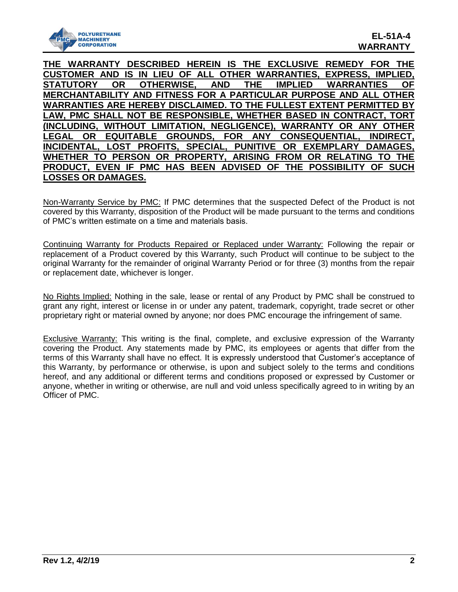

**THE WARRANTY DESCRIBED HEREIN IS THE EXCLUSIVE REMEDY FOR THE CUSTOMER AND IS IN LIEU OF ALL OTHER WARRANTIES, EXPRESS, IMPLIED, STATUTORY OR OTHERWISE, AND THE IMPLIED WARRANTIES OF MERCHANTABILITY AND FITNESS FOR A PARTICULAR PURPOSE AND ALL OTHER WARRANTIES ARE HEREBY DISCLAIMED. TO THE FULLEST EXTENT PERMITTED BY LAW, PMC SHALL NOT BE RESPONSIBLE, WHETHER BASED IN CONTRACT, TORT (INCLUDING, WITHOUT LIMITATION, NEGLIGENCE), WARRANTY OR ANY OTHER LEGAL OR EQUITABLE GROUNDS, FOR ANY CONSEQUENTIAL, INDIRECT, INCIDENTAL, LOST PROFITS, SPECIAL, PUNITIVE OR EXEMPLARY DAMAGES, WHETHER TO PERSON OR PROPERTY, ARISING FROM OR RELATING TO THE PRODUCT, EVEN IF PMC HAS BEEN ADVISED OF THE POSSIBILITY OF SUCH LOSSES OR DAMAGES.**

Non-Warranty Service by PMC: If PMC determines that the suspected Defect of the Product is not covered by this Warranty, disposition of the Product will be made pursuant to the terms and conditions of PMC's written estimate on a time and materials basis.

Continuing Warranty for Products Repaired or Replaced under Warranty: Following the repair or replacement of a Product covered by this Warranty, such Product will continue to be subject to the original Warranty for the remainder of original Warranty Period or for three (3) months from the repair or replacement date, whichever is longer.

No Rights Implied: Nothing in the sale, lease or rental of any Product by PMC shall be construed to grant any right, interest or license in or under any patent, trademark, copyright, trade secret or other proprietary right or material owned by anyone; nor does PMC encourage the infringement of same.

Exclusive Warranty: This writing is the final, complete, and exclusive expression of the Warranty covering the Product. Any statements made by PMC, its employees or agents that differ from the terms of this Warranty shall have no effect. It is expressly understood that Customer's acceptance of this Warranty, by performance or otherwise, is upon and subject solely to the terms and conditions hereof, and any additional or different terms and conditions proposed or expressed by Customer or anyone, whether in writing or otherwise, are null and void unless specifically agreed to in writing by an Officer of PMC.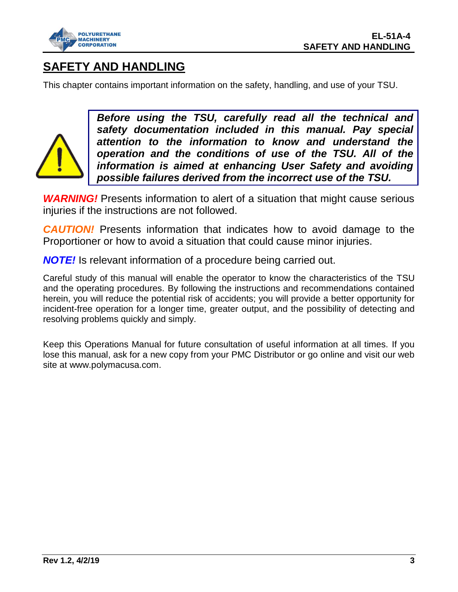

## <span id="page-4-0"></span>**SAFETY AND HANDLING**

This chapter contains important information on the safety, handling, and use of your TSU.



*Before using the TSU, carefully read all the technical and safety documentation included in this manual. Pay special attention to the information to know and understand the operation and the conditions of use of the TSU. All of the information is aimed at enhancing User Safety and avoiding possible failures derived from the incorrect use of the TSU.*

**WARNING!** Presents information to alert of a situation that might cause serious injuries if the instructions are not followed.

**CAUTION!** Presents information that indicates how to avoid damage to the Proportioner or how to avoid a situation that could cause minor injuries.

*NOTE!* Is relevant information of a procedure being carried out.

Careful study of this manual will enable the operator to know the characteristics of the TSU and the operating procedures. By following the instructions and recommendations contained herein, you will reduce the potential risk of accidents; you will provide a better opportunity for incident-free operation for a longer time, greater output, and the possibility of detecting and resolving problems quickly and simply.

Keep this Operations Manual for future consultation of useful information at all times. If you lose this manual, ask for a new copy from your PMC Distributor or go online and visit our web site at www.polymacusa.com.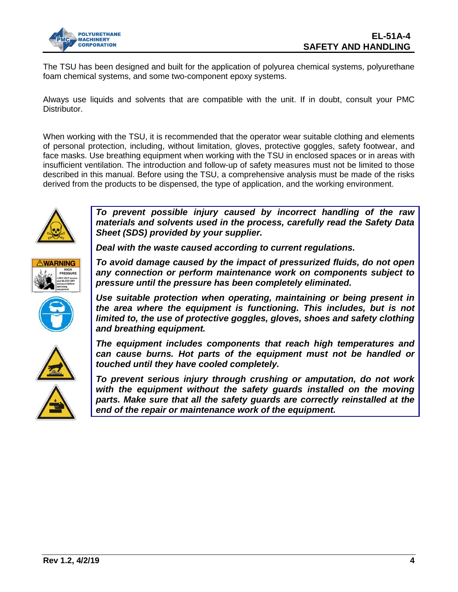

The TSU has been designed and built for the application of polyurea chemical systems, polyurethane foam chemical systems, and some two-component epoxy systems.

Always use liquids and solvents that are compatible with the unit. If in doubt, consult your PMC Distributor.

When working with the TSU, it is recommended that the operator wear suitable clothing and elements of personal protection, including, without limitation, gloves, protective goggles, safety footwear, and face masks. Use breathing equipment when working with the TSU in enclosed spaces or in areas with insufficient ventilation. The introduction and follow-up of safety measures must not be limited to those described in this manual. Before using the TSU, a comprehensive analysis must be made of the risks derived from the products to be dispensed, the type of application, and the working environment.



*To prevent possible injury caused by incorrect handling of the raw materials and solvents used in the process, carefully read the Safety Data Sheet (SDS) provided by your supplier.* 

*Deal with the waste caused according to current regulations.*



*To avoid damage caused by the impact of pressurized fluids, do not open any connection or perform maintenance work on components subject to pressure until the pressure has been completely eliminated.*

*Use suitable protection when operating, maintaining or being present in the area where the equipment is functioning. This includes, but is not limited to, the use of protective goggles, gloves, shoes and safety clothing and breathing equipment.*





*The equipment includes components that reach high temperatures and can cause burns. Hot parts of the equipment must not be handled or touched until they have cooled completely.*

*To prevent serious injury through crushing or amputation, do not work with the equipment without the safety guards installed on the moving parts. Make sure that all the safety guards are correctly reinstalled at the end of the repair or maintenance work of the equipment.*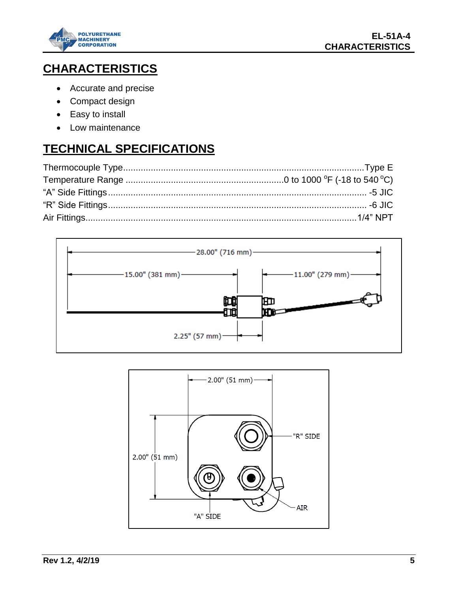

# <span id="page-6-0"></span>**CHARACTERISTICS**

- Accurate and precise
- Compact design
- Easy to install
- Low maintenance

# <span id="page-6-1"></span>**TECHNICAL SPECIFICATIONS**



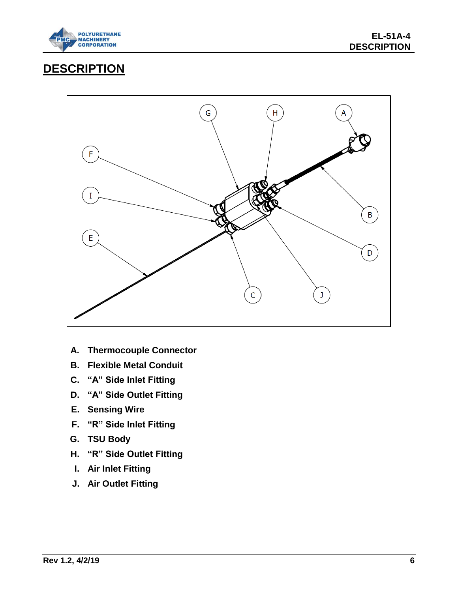

## <span id="page-7-0"></span>**DESCRIPTION**



- **A. Thermocouple Connector**
- **B. Flexible Metal Conduit**
- **C. "A" Side Inlet Fitting**
- **D. "A" Side Outlet Fitting**
- **E. Sensing Wire**
- **F. "R" Side Inlet Fitting**
- **G. TSU Body**
- **H. "R" Side Outlet Fitting**
- **I. Air Inlet Fitting**
- **J. Air Outlet Fitting**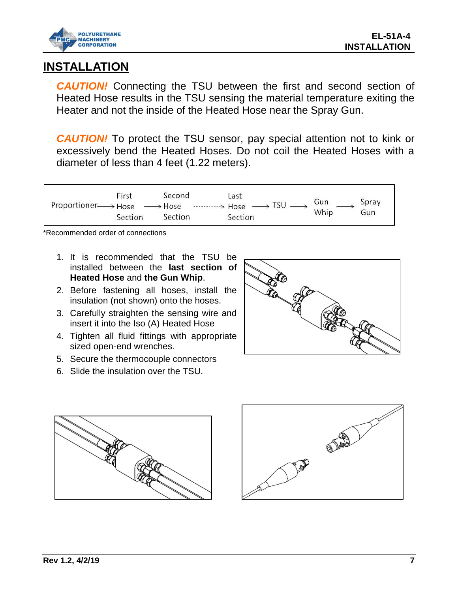

## <span id="page-8-0"></span>**INSTALLATION**

**CAUTION!** Connecting the TSU between the first and second section of Heated Hose results in the TSU sensing the material temperature exiting the Heater and not the inside of the Heated Hose near the Spray Gun.

**CAUTION!** To protect the TSU sensor, pay special attention not to kink or excessively bend the Heated Hoses. Do not coil the Heated Hoses with a diameter of less than 4 feet (1.22 meters).



\*Recommended order of connections

- 1. It is recommended that the TSU be installed between the **last section of Heated Hose** and **the Gun Whip**.
- 2. Before fastening all hoses, install the insulation (not shown) onto the hoses.
- 3. Carefully straighten the sensing wire and insert it into the Iso (A) Heated Hose
- 4. Tighten all fluid fittings with appropriate sized open-end wrenches.
- 5. Secure the thermocouple connectors
- 6. Slide the insulation over the TSU.





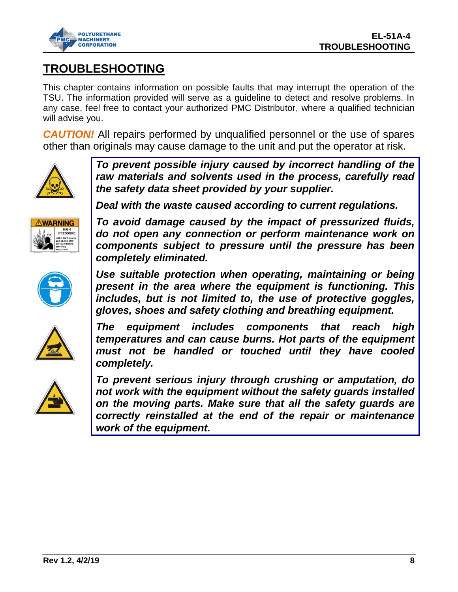

## <span id="page-9-0"></span>**TROUBLESHOOTING**

This chapter contains information on possible faults that may interrupt the operation of the TSU. The information provided will serve as a guideline to detect and resolve problems. In any case, feel free to contact your authorized PMC Distributor, where a qualified technician will advise you.

**CAUTION!** All repairs performed by unqualified personnel or the use of spares other than originals may cause damage to the unit and put the operator at risk.



*To prevent possible injury caused by incorrect handling of the raw materials and solvents used in the process, carefully read the safety data sheet provided by your supplier.* 

**ARNING** 

*Deal with the waste caused according to current regulations.*

*To avoid damage caused by the impact of pressurized fluids, do not open any connection or perform maintenance work on components subject to pressure until the pressure has been completely eliminated.*



*Use suitable protection when operating, maintaining or being present in the area where the equipment is functioning. This includes, but is not limited to, the use of protective goggles, gloves, shoes and safety clothing and breathing equipment.*



*The equipment includes components that reach high temperatures and can cause burns. Hot parts of the equipment must not be handled or touched until they have cooled completely.*



*To prevent serious injury through crushing or amputation, do not work with the equipment without the safety guards installed on the moving parts. Make sure that all the safety guards are correctly reinstalled at the end of the repair or maintenance work of the equipment.*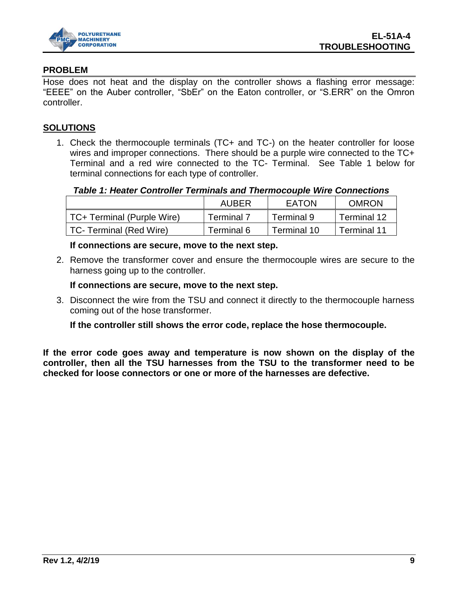

#### **PROBLEM**

Hose does not heat and the display on the controller shows a flashing error message: "EEEE" on the Auber controller, "SbEr" on the Eaton controller, or "S.ERR" on the Omron controller.

#### **SOLUTIONS**

1. Check the thermocouple terminals (TC+ and TC-) on the heater controller for loose wires and improper connections. There should be a purple wire connected to the TC+ Terminal and a red wire connected to the TC- Terminal. See Table 1 below for terminal connections for each type of controller.

#### *Table 1: Heater Controller Terminals and Thermocouple Wire Connections*

|                            | <b>AUBER</b> | EATON       | <b>OMRON</b> |
|----------------------------|--------------|-------------|--------------|
| TC+ Terminal (Purple Wire) | Terminal 7   | Terminal 9  | Terminal 12  |
| TC- Terminal (Red Wire)    | Terminal 6   | Terminal 10 | Terminal 11  |

#### **If connections are secure, move to the next step.**

2. Remove the transformer cover and ensure the thermocouple wires are secure to the harness going up to the controller.

#### **If connections are secure, move to the next step.**

3. Disconnect the wire from the TSU and connect it directly to the thermocouple harness coming out of the hose transformer.

**If the controller still shows the error code, replace the hose thermocouple.** 

**If the error code goes away and temperature is now shown on the display of the controller, then all the TSU harnesses from the TSU to the transformer need to be checked for loose connectors or one or more of the harnesses are defective.**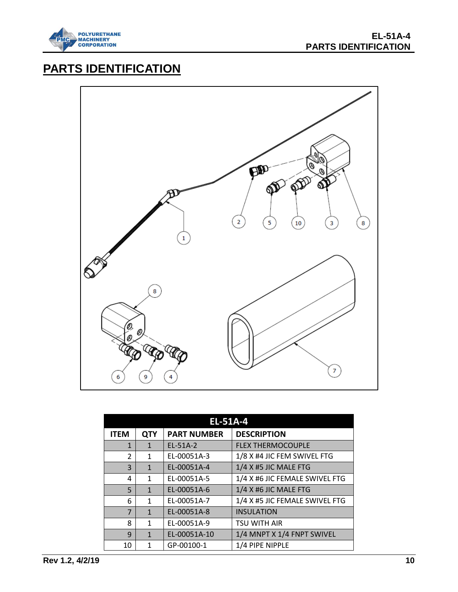

# <span id="page-11-0"></span>**PARTS IDENTIFICATION**



| <b>EL-51A-4</b> |            |                    |                                |
|-----------------|------------|--------------------|--------------------------------|
| <b>ITEM</b>     | <b>QTY</b> | <b>PART NUMBER</b> | <b>DESCRIPTION</b>             |
| 1               | 1          | $FL-51A-2$         | <b>FLEX THERMOCOUPLE</b>       |
| $\overline{2}$  | 1          | EL-00051A-3        | 1/8 X #4 JIC FEM SWIVEL FTG    |
| 3               | 1          | EL-00051A-4        | 1/4 X #5 JIC MALE FTG          |
| 4               | 1          | EL-00051A-5        | 1/4 X #6 JIC FEMALE SWIVEL FTG |
| 5               | 1          | EL-00051A-6        | 1/4 X #6 JIC MALE FTG          |
| 6               | 1          | EL-00051A-7        | 1/4 X #5 JIC FEMALE SWIVEL FTG |
| 7               | 1          | EL-00051A-8        | <b>INSULATION</b>              |
| 8               | 1          | EL-00051A-9        | <b>TSU WITH AIR</b>            |
| 9               | 1          | EL-00051A-10       | 1/4 MNPT X 1/4 FNPT SWIVEL     |
| 10              | 1          | GP-00100-1         | 1/4 PIPE NIPPLE                |